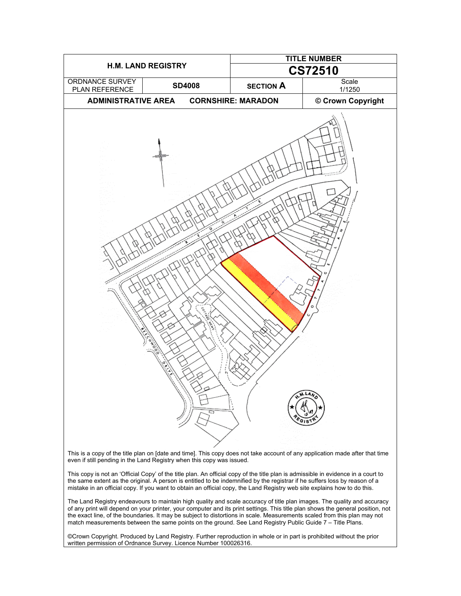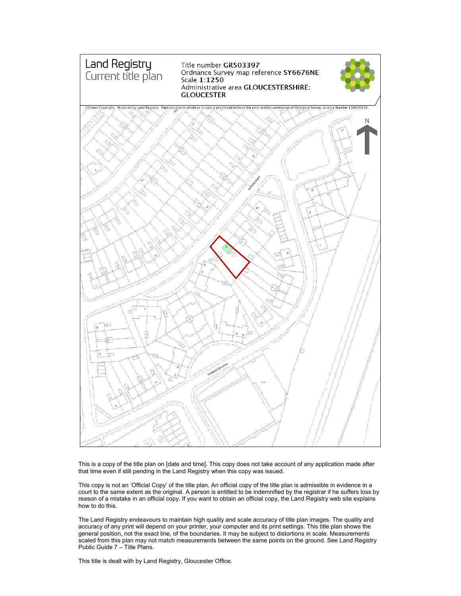

This is a copy of the title plan on [date and time]. This copy does not take account of any application made after that time even if still pending in the Land Registry when this copy was issued.

This copy is not an 'Official Copy' of the title plan. An official copy of the title plan is admissible in evidence in a court to the same extent as the original. A person is entitled to be indemnified by the registrar if he suffers loss by reason of a mistake in an official copy. If you want to obtain an official copy, the Land Registry web site explains how to do this.

The Land Registry endeavours to maintain high quality and scale accuracy of title plan images. The quality and accuracy of any print will depend on your printer, your computer and its print settings. This title plan shows the general position, not the exact line, of the boundaries. It may be subject to distortions in scale. Measurements scaled from this plan may not match measurements between the same points on the ground. See Land Registry Public Guide 7 – Title Plans.

This title is dealt with by Land Registry, Gloucester Office.